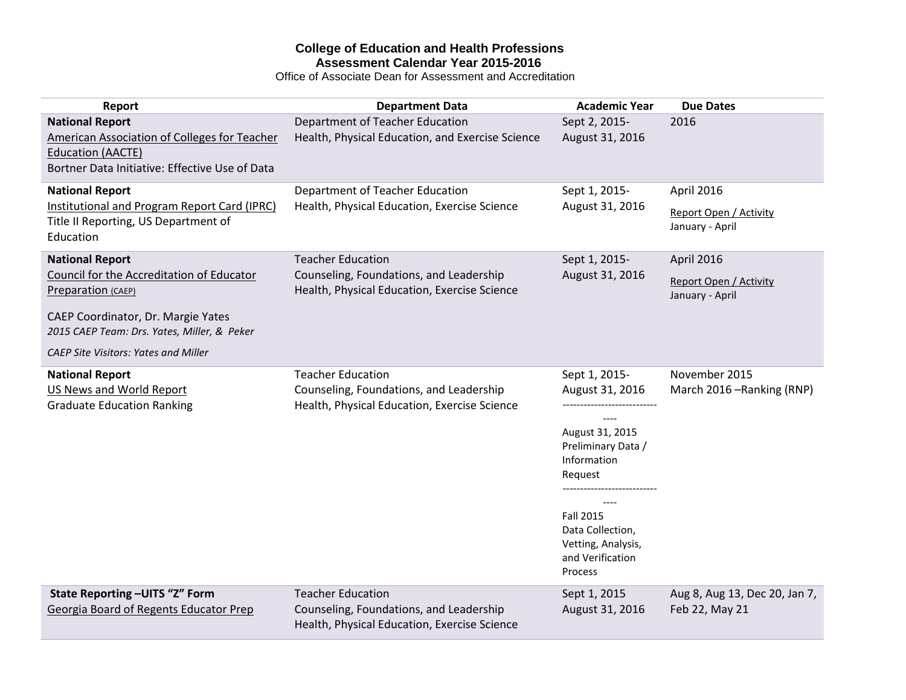# **College of Education and Health Professions Assessment Calendar Year 2015-2016**

Office of Associate Dean for Assessment and Accreditation

| Report                                                                                                                                                                                                                        | <b>Department Data</b>                                                                                              | <b>Academic Year</b>                                                                                                                                                                             | <b>Due Dates</b>                                               |
|-------------------------------------------------------------------------------------------------------------------------------------------------------------------------------------------------------------------------------|---------------------------------------------------------------------------------------------------------------------|--------------------------------------------------------------------------------------------------------------------------------------------------------------------------------------------------|----------------------------------------------------------------|
| <b>National Report</b><br><b>American Association of Colleges for Teacher</b><br><b>Education (AACTE)</b><br>Bortner Data Initiative: Effective Use of Data                                                                   | Department of Teacher Education<br>Health, Physical Education, and Exercise Science                                 | Sept 2, 2015-<br>August 31, 2016                                                                                                                                                                 | 2016                                                           |
| <b>National Report</b><br>Institutional and Program Report Card (IPRC)<br>Title II Reporting, US Department of<br>Education                                                                                                   | Department of Teacher Education<br>Health, Physical Education, Exercise Science                                     | Sept 1, 2015-<br>August 31, 2016                                                                                                                                                                 | April 2016<br><b>Report Open / Activity</b><br>January - April |
| <b>National Report</b><br>Council for the Accreditation of Educator<br>Preparation (CAEP)<br>CAEP Coordinator, Dr. Margie Yates<br>2015 CAEP Team: Drs. Yates, Miller, & Peker<br><b>CAEP Site Visitors: Yates and Miller</b> | <b>Teacher Education</b><br>Counseling, Foundations, and Leadership<br>Health, Physical Education, Exercise Science | Sept 1, 2015-<br>August 31, 2016                                                                                                                                                                 | April 2016<br>Report Open / Activity<br>January - April        |
| <b>National Report</b><br>US News and World Report<br><b>Graduate Education Ranking</b>                                                                                                                                       | <b>Teacher Education</b><br>Counseling, Foundations, and Leadership<br>Health, Physical Education, Exercise Science | Sept 1, 2015-<br>August 31, 2016<br>August 31, 2015<br>Preliminary Data /<br>Information<br>Request<br><b>Fall 2015</b><br>Data Collection,<br>Vetting, Analysis,<br>and Verification<br>Process | November 2015<br>March 2016 - Ranking (RNP)                    |
| State Reporting-UITS "Z" Form<br>Georgia Board of Regents Educator Prep                                                                                                                                                       | <b>Teacher Education</b><br>Counseling, Foundations, and Leadership<br>Health, Physical Education, Exercise Science | Sept 1, 2015<br>August 31, 2016                                                                                                                                                                  | Aug 8, Aug 13, Dec 20, Jan 7,<br>Feb 22, May 21                |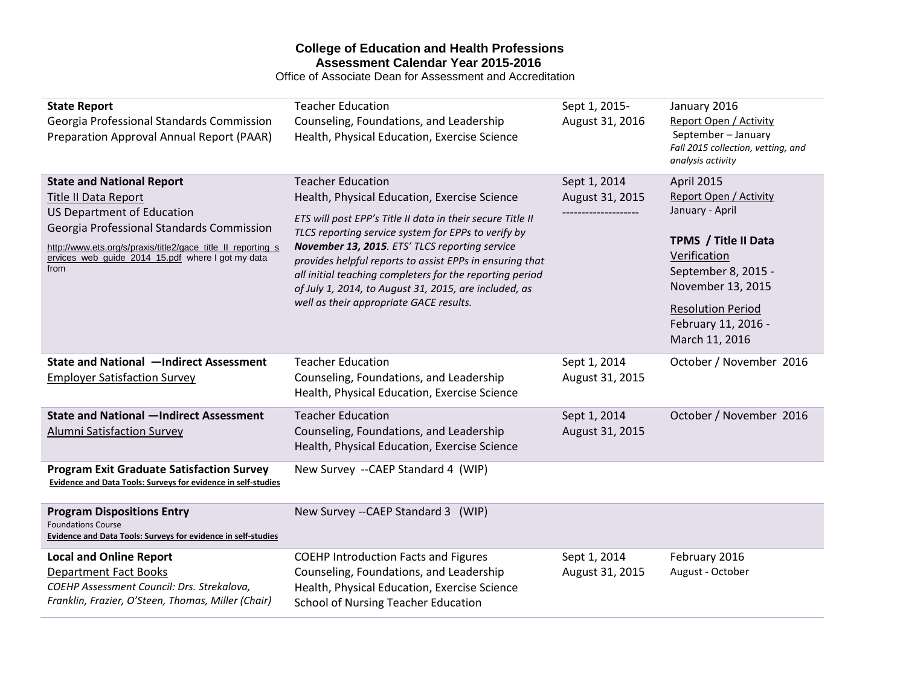## **College of Education and Health Professions Assessment Calendar Year 2015-2016**

Office of Associate Dean for Assessment and Accreditation

| <b>State Report</b><br>Georgia Professional Standards Commission<br>Preparation Approval Annual Report (PAAR)                                                                                                                                                                  | <b>Teacher Education</b><br>Counseling, Foundations, and Leadership<br>Health, Physical Education, Exercise Science                                                                                                                                                                                                                                                                                                                                                         | Sept 1, 2015-<br>August 31, 2016 | January 2016<br>Report Open / Activity<br>September - January<br>Fall 2015 collection, vetting, and<br>analysis activity                                                                                         |
|--------------------------------------------------------------------------------------------------------------------------------------------------------------------------------------------------------------------------------------------------------------------------------|-----------------------------------------------------------------------------------------------------------------------------------------------------------------------------------------------------------------------------------------------------------------------------------------------------------------------------------------------------------------------------------------------------------------------------------------------------------------------------|----------------------------------|------------------------------------------------------------------------------------------------------------------------------------------------------------------------------------------------------------------|
| <b>State and National Report</b><br><b>Title II Data Report</b><br><b>US Department of Education</b><br>Georgia Professional Standards Commission<br>http://www.ets.org/s/praxis/title2/gace_title_II_reporting_s<br>ervices web quide 2014_15.pdf where I got my data<br>from | <b>Teacher Education</b><br>Health, Physical Education, Exercise Science<br>ETS will post EPP's Title II data in their secure Title II<br>TLCS reporting service system for EPPs to verify by<br>November 13, 2015. ETS' TLCS reporting service<br>provides helpful reports to assist EPPs in ensuring that<br>all initial teaching completers for the reporting period<br>of July 1, 2014, to August 31, 2015, are included, as<br>well as their appropriate GACE results. | Sept 1, 2014<br>August 31, 2015  | April 2015<br>Report Open / Activity<br>January - April<br>TPMS / Title II Data<br>Verification<br>September 8, 2015 -<br>November 13, 2015<br><b>Resolution Period</b><br>February 11, 2016 -<br>March 11, 2016 |
| State and National -Indirect Assessment<br><b>Employer Satisfaction Survey</b>                                                                                                                                                                                                 | <b>Teacher Education</b><br>Counseling, Foundations, and Leadership<br>Health, Physical Education, Exercise Science                                                                                                                                                                                                                                                                                                                                                         | Sept 1, 2014<br>August 31, 2015  | October / November 2016                                                                                                                                                                                          |
| <b>State and National -Indirect Assessment</b><br><b>Alumni Satisfaction Survey</b>                                                                                                                                                                                            | <b>Teacher Education</b><br>Counseling, Foundations, and Leadership<br>Health, Physical Education, Exercise Science                                                                                                                                                                                                                                                                                                                                                         | Sept 1, 2014<br>August 31, 2015  | October / November 2016                                                                                                                                                                                          |
| <b>Program Exit Graduate Satisfaction Survey</b><br>Evidence and Data Tools: Surveys for evidence in self-studies                                                                                                                                                              | New Survey -- CAEP Standard 4 (WIP)                                                                                                                                                                                                                                                                                                                                                                                                                                         |                                  |                                                                                                                                                                                                                  |
| <b>Program Dispositions Entry</b><br><b>Foundations Course</b><br>Evidence and Data Tools: Surveys for evidence in self-studies                                                                                                                                                | New Survey -- CAEP Standard 3 (WIP)                                                                                                                                                                                                                                                                                                                                                                                                                                         |                                  |                                                                                                                                                                                                                  |
| <b>Local and Online Report</b><br><b>Department Fact Books</b><br>COEHP Assessment Council: Drs. Strekalova,<br>Franklin, Frazier, O'Steen, Thomas, Miller (Chair)                                                                                                             | <b>COEHP Introduction Facts and Figures</b><br>Counseling, Foundations, and Leadership<br>Health, Physical Education, Exercise Science<br><b>School of Nursing Teacher Education</b>                                                                                                                                                                                                                                                                                        | Sept 1, 2014<br>August 31, 2015  | February 2016<br>August - October                                                                                                                                                                                |